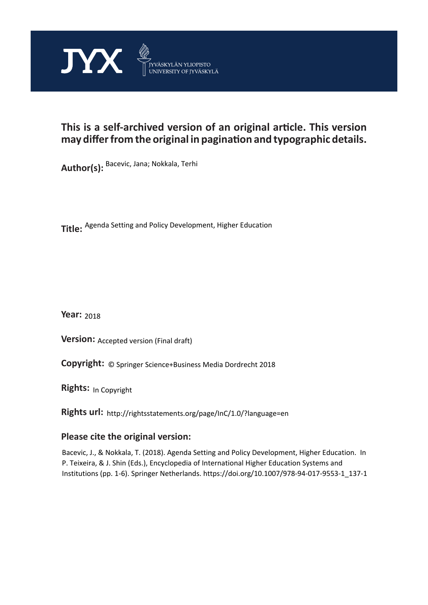

# **This is a self-archived version of an original article. This version may differ from the original in pagination and typographic details.**

**Author(s):**  Bacevic, Jana; Nokkala, Terhi

**Title:**  Agenda Setting and Policy Development, Higher Education

**Year:**  2018

**Version: Accepted version (Final draft)** 

**Version:** Accepted version (Final draft)<br>**Copyright:** © Springer Science+Business Media Dordrecht 2018

**Rights:** In Copyright

**Rights url:**  http://rightsstatements.org/page/InC/1.0/?language=en

# **Please cite the original version:**

Bacevic, J., & Nokkala, T. (2018). Agenda Setting and Policy Development, Higher Education. In P. Teixeira, & J. Shin (Eds.), Encyclopedia of International Higher Education Systems and Institutions (pp. 1-6). Springer Netherlands. https://doi.org/10.1007/978-94-017-9553-1\_137-1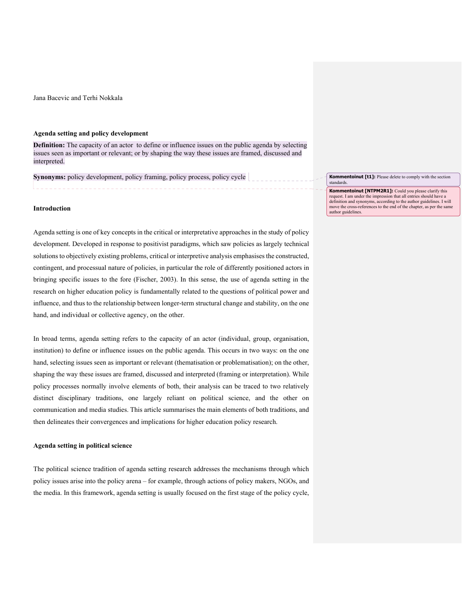Jana Bacevic and Terhi Nokkala

## **Agenda setting and policy development**

**Definition:** The capacity of an actor to define or influence issues on the public agenda by selecting issues seen as important or relevant; or by shaping the way these issues are framed, discussed and interpreted.

**Synonyms:** policy development, policy framing, policy process, policy cycle

#### **Introduction**

I

Agenda setting is one of key concepts in the critical or interpretative approaches in the study of policy development. Developed in response to positivist paradigms, which saw policies as largely technical solutions to objectively existing problems, critical or interpretive analysis emphasises the constructed, contingent, and processual nature of policies, in particular the role of differently positioned actors in bringing specific issues to the fore (Fischer, 2003). In this sense, the use of agenda setting in the research on higher education policy is fundamentally related to the questions of political power and influence, and thus to the relationship between longer-term structural change and stability, on the one hand, and individual or collective agency, on the other.

In broad terms, agenda setting refers to the capacity of an actor (individual, group, organisation, institution) to define or influence issues on the public agenda. This occurs in two ways: on the one hand, selecting issues seen as important or relevant (thematisation or problematisation); on the other, shaping the way these issues are framed, discussed and interpreted (framing or interpretation). While policy processes normally involve elements of both, their analysis can be traced to two relatively distinct disciplinary traditions, one largely reliant on political science, and the other on communication and media studies. This article summarises the main elements of both traditions, and then delineates their convergences and implications for higher education policy research.

# **Agenda setting in political science**

The political science tradition of agenda setting research addresses the mechanisms through which policy issues arise into the policy arena – for example, through actions of policy makers, NGOs, and the media. In this framework, agenda setting is usually focused on the first stage of the policy cycle, **Kommentoinut [t1]:** Please delete to comply with the section standards.

**Kommentoinut [NTPM2R1]:** Could you please clarify this request. I am under the impression that all entries should have a definition and synonyms, according to the author guidelines. I will move the cross-references to the end of the chapter, as per the same author guidelines.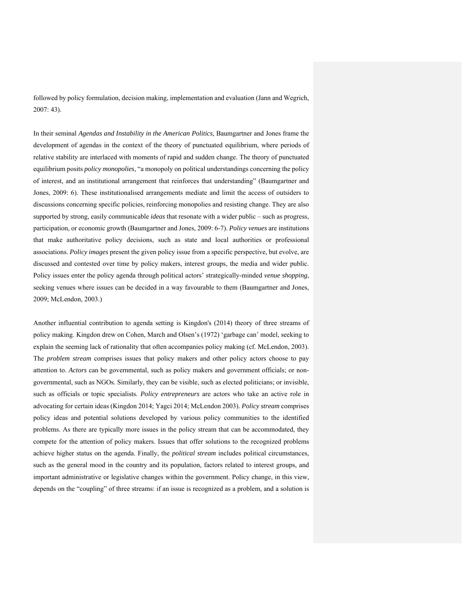followed by policy formulation, decision making, implementation and evaluation (Jann and Wegrich, 2007: 43).

In their seminal *Agendas and Instability in the American Politics*, Baumgartner and Jones frame the development of agendas in the context of the theory of punctuated equilibrium, where periods of relative stability are interlaced with moments of rapid and sudden change. The theory of punctuated equilibrium posits *policy monopolies*, "a monopoly on political understandings concerning the policy of interest, and an institutional arrangement that reinforces that understanding" (Baumgartner and Jones, 2009: 6). These institutionalised arrangements mediate and limit the access of outsiders to discussions concerning specific policies, reinforcing monopolies and resisting change. They are also supported by strong, easily communicable *ideas* that resonate with a wider public – such as progress, participation, or economic growth (Baumgartner and Jones, 2009: 6-7). *Policy venues* are institutions that make authoritative policy decisions, such as state and local authorities or professional associations. *Policy images* present the given policy issue from a specific perspective, but evolve, are discussed and contested over time by policy makers, interest groups, the media and wider public. Policy issues enter the policy agenda through political actors' strategically-minded *venue shopping*, seeking venues where issues can be decided in a way favourable to them (Baumgartner and Jones, 2009; McLendon, 2003.)

Another influential contribution to agenda setting is Kingdon's (2014) theory of three streams of policy making. Kingdon drew on Cohen, March and Olsen's (1972) 'garbage can' model, seeking to explain the seeming lack of rationality that often accompanies policy making (cf. McLendon, 2003). The *problem stream* comprises issues that policy makers and other policy actors choose to pay attention to. *Actors* can be governmental, such as policy makers and government officials; or nongovernmental, such as NGOs. Similarly, they can be visible, such as elected politicians; or invisible, such as officials or topic specialists. *Policy entrepreneurs* are actors who take an active role in advocating for certain ideas (Kingdon 2014; Yagci 2014; McLendon 2003). *Policy stream* comprises policy ideas and potential solutions developed by various policy communities to the identified problems. As there are typically more issues in the policy stream that can be accommodated, they compete for the attention of policy makers. Issues that offer solutions to the recognized problems achieve higher status on the agenda. Finally, the *political stream* includes political circumstances, such as the general mood in the country and its population, factors related to interest groups, and important administrative or legislative changes within the government. Policy change, in this view, depends on the "coupling" of three streams: if an issue is recognized as a problem, and a solution is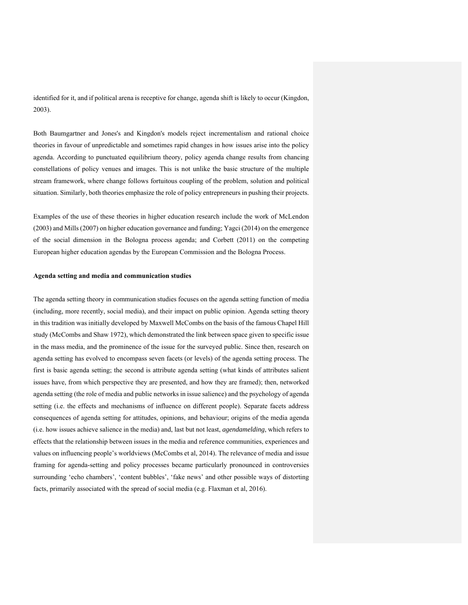identified for it, and if political arena is receptive for change, agenda shift is likely to occur (Kingdon, 2003).

Both Baumgartner and Jones's and Kingdon's models reject incrementalism and rational choice theories in favour of unpredictable and sometimes rapid changes in how issues arise into the policy agenda. According to punctuated equilibrium theory, policy agenda change results from chancing constellations of policy venues and images. This is not unlike the basic structure of the multiple stream framework, where change follows fortuitous coupling of the problem, solution and political situation. Similarly, both theories emphasize the role of policy entrepreneurs in pushing their projects.

Examples of the use of these theories in higher education research include the work of McLendon (2003) and Mills (2007) on higher education governance and funding; Yagci (2014) on the emergence of the social dimension in the Bologna process agenda; and Corbett (2011) on the competing European higher education agendas by the European Commission and the Bologna Process.

#### **Agenda setting and media and communication studies**

The agenda setting theory in communication studies focuses on the agenda setting function of media (including, more recently, social media), and their impact on public opinion. Agenda setting theory in this tradition was initially developed by Maxwell McCombs on the basis of the famous Chapel Hill study (McCombs and Shaw 1972), which demonstrated the link between space given to specific issue in the mass media, and the prominence of the issue for the surveyed public. Since then, research on agenda setting has evolved to encompass seven facets (or levels) of the agenda setting process. The first is basic agenda setting; the second is attribute agenda setting (what kinds of attributes salient issues have, from which perspective they are presented, and how they are framed); then, networked agenda setting (the role of media and public networks in issue salience) and the psychology of agenda setting (i.e. the effects and mechanisms of influence on different people). Separate facets address consequences of agenda setting for attitudes, opinions, and behaviour; origins of the media agenda (i.e. how issues achieve salience in the media) and, last but not least, *agendamelding*, which refers to effects that the relationship between issues in the media and reference communities, experiences and values on influencing people's worldviews (McCombs et al, 2014). The relevance of media and issue framing for agenda-setting and policy processes became particularly pronounced in controversies surrounding 'echo chambers', 'content bubbles', 'fake news' and other possible ways of distorting facts, primarily associated with the spread of social media (e.g. Flaxman et al, 2016).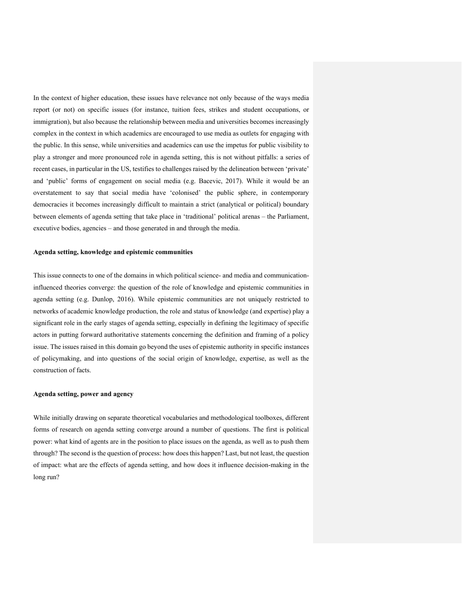In the context of higher education, these issues have relevance not only because of the ways media report (or not) on specific issues (for instance, tuition fees, strikes and student occupations, or immigration), but also because the relationship between media and universities becomes increasingly complex in the context in which academics are encouraged to use media as outlets for engaging with the public. In this sense, while universities and academics can use the impetus for public visibility to play a stronger and more pronounced role in agenda setting, this is not without pitfalls: a series of recent cases, in particular in the US, testifies to challenges raised by the delineation between 'private' and 'public' forms of engagement on social media (e.g. Bacevic, 2017). While it would be an overstatement to say that social media have 'colonised' the public sphere, in contemporary democracies it becomes increasingly difficult to maintain a strict (analytical or political) boundary between elements of agenda setting that take place in 'traditional' political arenas – the Parliament, executive bodies, agencies – and those generated in and through the media.

# **Agenda setting, knowledge and epistemic communities**

This issue connects to one of the domains in which political science- and media and communicationinfluenced theories converge: the question of the role of knowledge and epistemic communities in agenda setting (e.g. Dunlop, 2016). While epistemic communities are not uniquely restricted to networks of academic knowledge production, the role and status of knowledge (and expertise) play a significant role in the early stages of agenda setting, especially in defining the legitimacy of specific actors in putting forward authoritative statements concerning the definition and framing of a policy issue. The issues raised in this domain go beyond the uses of epistemic authority in specific instances of policymaking, and into questions of the social origin of knowledge, expertise, as well as the construction of facts.

#### **Agenda setting, power and agency**

While initially drawing on separate theoretical vocabularies and methodological toolboxes, different forms of research on agenda setting converge around a number of questions. The first is political power: what kind of agents are in the position to place issues on the agenda, as well as to push them through? The second is the question of process: how does this happen? Last, but not least, the question of impact: what are the effects of agenda setting, and how does it influence decision-making in the long run?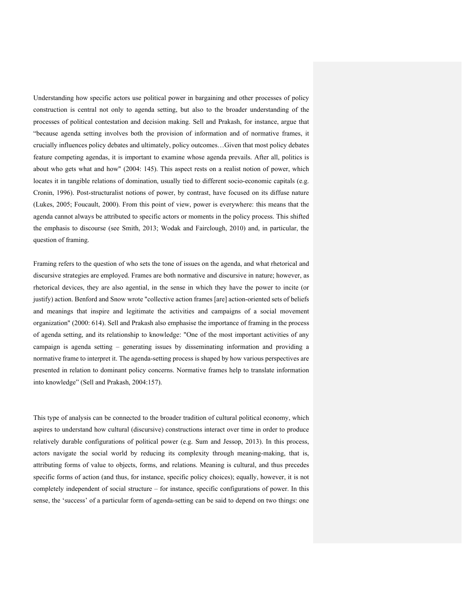Understanding how specific actors use political power in bargaining and other processes of policy construction is central not only to agenda setting, but also to the broader understanding of the processes of political contestation and decision making. Sell and Prakash, for instance, argue that "because agenda setting involves both the provision of information and of normative frames, it crucially influences policy debates and ultimately, policy outcomes…Given that most policy debates feature competing agendas, it is important to examine whose agenda prevails. After all, politics is about who gets what and how" (2004: 145). This aspect rests on a realist notion of power, which locates it in tangible relations of domination, usually tied to different socio-economic capitals (e.g. Cronin, 1996). Post-structuralist notions of power, by contrast, have focused on its diffuse nature (Lukes, 2005; Foucault, 2000). From this point of view, power is everywhere: this means that the agenda cannot always be attributed to specific actors or moments in the policy process. This shifted the emphasis to discourse (see Smith, 2013; Wodak and Fairclough, 2010) and, in particular, the question of framing.

Framing refers to the question of who sets the tone of issues on the agenda, and what rhetorical and discursive strategies are employed. Frames are both normative and discursive in nature; however, as rhetorical devices, they are also agential, in the sense in which they have the power to incite (or justify) action. Benford and Snow wrote "collective action frames [are] action-oriented sets of beliefs and meanings that inspire and legitimate the activities and campaigns of a social movement organization" (2000: 614). Sell and Prakash also emphasise the importance of framing in the process of agenda setting, and its relationship to knowledge: "One of the most important activities of any campaign is agenda setting – generating issues by disseminating information and providing a normative frame to interpret it. The agenda-setting process is shaped by how various perspectives are presented in relation to dominant policy concerns. Normative frames help to translate information into knowledge" (Sell and Prakash, 2004:157).

This type of analysis can be connected to the broader tradition of cultural political economy, which aspires to understand how cultural (discursive) constructions interact over time in order to produce relatively durable configurations of political power (e.g. Sum and Jessop, 2013). In this process, actors navigate the social world by reducing its complexity through meaning-making, that is, attributing forms of value to objects, forms, and relations. Meaning is cultural, and thus precedes specific forms of action (and thus, for instance, specific policy choices); equally, however, it is not completely independent of social structure – for instance, specific configurations of power. In this sense, the 'success' of a particular form of agenda-setting can be said to depend on two things: one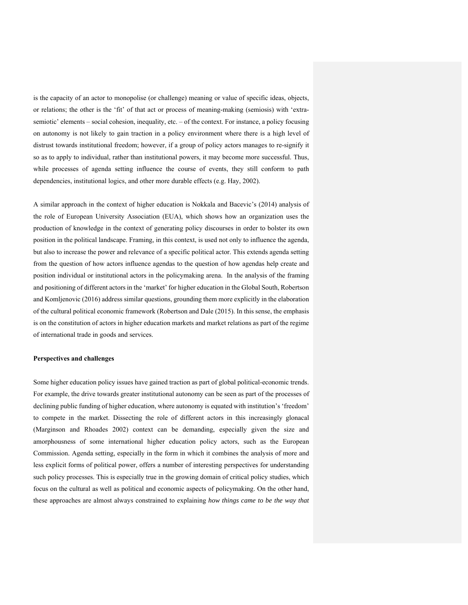is the capacity of an actor to monopolise (or challenge) meaning or value of specific ideas, objects, or relations; the other is the 'fit' of that act or process of meaning-making (semiosis) with 'extrasemiotic' elements – social cohesion, inequality, etc. – of the context. For instance, a policy focusing on autonomy is not likely to gain traction in a policy environment where there is a high level of distrust towards institutional freedom; however, if a group of policy actors manages to re-signify it so as to apply to individual, rather than institutional powers, it may become more successful. Thus, while processes of agenda setting influence the course of events, they still conform to path dependencies, institutional logics, and other more durable effects (e.g. Hay, 2002).

A similar approach in the context of higher education is Nokkala and Bacevic's (2014) analysis of the role of European University Association (EUA), which shows how an organization uses the production of knowledge in the context of generating policy discourses in order to bolster its own position in the political landscape. Framing, in this context, is used not only to influence the agenda, but also to increase the power and relevance of a specific political actor. This extends agenda setting from the question of how actors influence agendas to the question of how agendas help create and position individual or institutional actors in the policymaking arena. In the analysis of the framing and positioning of different actors in the 'market' for higher education in the Global South, Robertson and Komljenovic (2016) address similar questions, grounding them more explicitly in the elaboration of the cultural political economic framework (Robertson and Dale (2015). In this sense, the emphasis is on the constitution of actors in higher education markets and market relations as part of the regime of international trade in goods and services.

#### **Perspectives and challenges**

Some higher education policy issues have gained traction as part of global political-economic trends. For example, the drive towards greater institutional autonomy can be seen as part of the processes of declining public funding of higher education, where autonomy is equated with institution's 'freedom' to compete in the market. Dissecting the role of different actors in this increasingly glonacal (Marginson and Rhoades 2002) context can be demanding, especially given the size and amorphousness of some international higher education policy actors, such as the European Commission. Agenda setting, especially in the form in which it combines the analysis of more and less explicit forms of political power, offers a number of interesting perspectives for understanding such policy processes. This is especially true in the growing domain of critical policy studies, which focus on the cultural as well as political and economic aspects of policymaking. On the other hand, these approaches are almost always constrained to explaining *how things came to be the way that*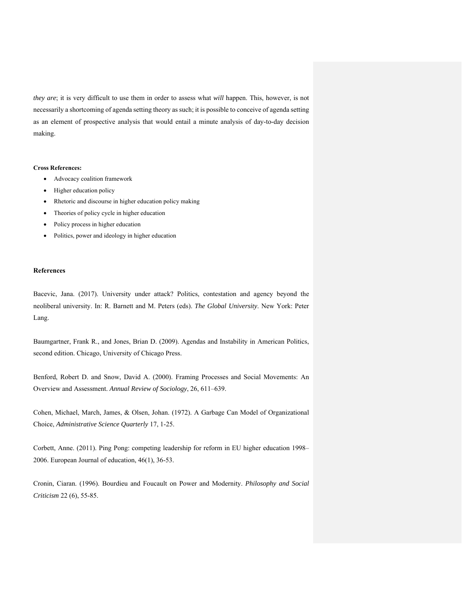*they are*; it is very difficult to use them in order to assess what *will* happen. This, however, is not necessarily a shortcoming of agenda setting theory as such; it is possible to conceive of agenda setting as an element of prospective analysis that would entail a minute analysis of day-to-day decision making.

## **Cross References:**

- Advocacy coalition framework
- Higher education policy
- Rhetoric and discourse in higher education policy making
- Theories of policy cycle in higher education
- Policy process in higher education
- Politics, power and ideology in higher education

#### **References**

Bacevic, Jana. (2017). University under attack? Politics, contestation and agency beyond the neoliberal university. In: R. Barnett and M. Peters (eds). *The Global University*. New York: Peter Lang.

Baumgartner, Frank R., and Jones, Brian D. (2009). Agendas and Instability in American Politics, second edition. Chicago, University of Chicago Press.

Benford, Robert D. and Snow, David A. (2000). Framing Processes and Social Movements: An Overview and Assessment. *Annual Review of Sociology*, 26, 611–639.

Cohen, Michael, March, James, & Olsen, Johan. (1972). A Garbage Can Model of Organizational Choice, *Administrative Science Quarterly* 17, 1-25.

Corbett, Anne. (2011). Ping Pong: competing leadership for reform in EU higher education 1998– 2006. European Journal of education, 46(1), 36-53.

Cronin, Ciaran. (1996). Bourdieu and Foucault on Power and Modernity. *Philosophy and Social Criticism* 22 (6), 55-85.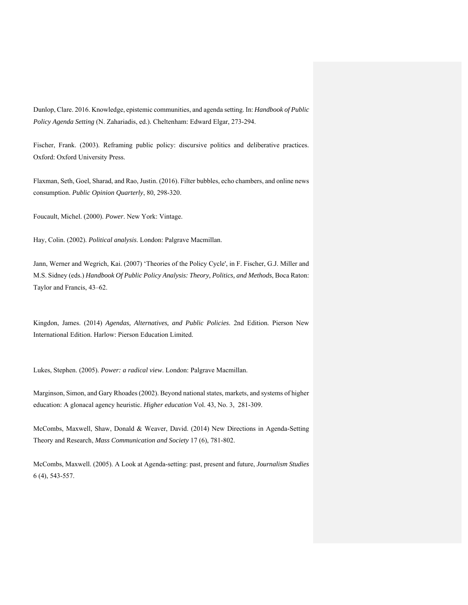Dunlop, Clare. 2016. Knowledge, epistemic communities, and agenda setting. In: *Handbook of Public Policy Agenda Setting* (N. Zahariadis, ed.). Cheltenham: Edward Elgar, 273-294.

Fischer, Frank. (2003). Reframing public policy: discursive politics and deliberative practices. Oxford: Oxford University Press.

Flaxman, Seth, Goel, Sharad, and Rao, Justin. (2016). Filter bubbles, echo chambers, and online news consumption. *Public Opinion Quarterly*, 80, 298-320.

Foucault, Michel. (2000). *Power*. New York: Vintage.

Hay, Colin. (2002). *Political analysis*. London: Palgrave Macmillan.

Jann, Werner and Wegrich, Kai. (2007) 'Theories of the Policy Cycle', in F. Fischer, G.J. Miller and M.S. Sidney (eds.) *Handbook Of Public Policy Analysis: Theory, Politics, and Methods*, Boca Raton: Taylor and Francis, 43–62.

Kingdon, James. (2014) *Agendas, Alternatives, and Public Policies*. 2nd Edition. Pierson New International Edition. Harlow: Pierson Education Limited.

Lukes, Stephen. (2005). *Power: a radical view*. London: Palgrave Macmillan.

Marginson, Simon, and Gary Rhoades (2002). Beyond national states, markets, and systems of higher education: A glonacal agency heuristic. *Higher education* Vol. 43, No. 3, 281-309.

McCombs, Maxwell, Shaw, Donald & Weaver, David. (2014) New Directions in Agenda-Setting Theory and Research, *Mass Communication and Society* 17 (6), 781-802.

McCombs, Maxwell. (2005). A Look at Agenda-setting: past, present and future, *Journalism Studies* 6 (4), 543-557.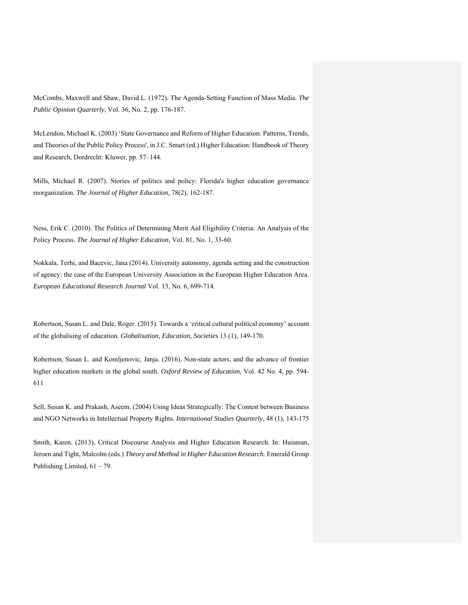McCombs, Maxwell and Shaw, David L. (1972). The Agenda-Setting Function of Mass Media. *The Public Opinion Quarterly*, Vol. 36, No. 2, pp. 176-187.

McLendon, Michael K. (2003) 'State Governance and Reform of Higher Education: Patterns, Trends, and Theories of the Public Policy Process', in J.C. Smart (ed.) Higher Education: Handbook of Theory and Research, Dordrecht: Kluwer, pp. 57–144.

Mills, Michael R. (2007). Stories of politics and policy: Florida's higher education governance reorganization. *The Journal of Higher Education*, 78(2), 162-187.

Ness, Erik C. (2010). The Politics of Determining Merit Aid Eligibility Criteria: An Analysis of the Policy Process. *The Journal of Higher Education*, Vol. 81, No. 1, 33-60.

Nokkala, Terhi, and Bacevic, Jana (2014). University autonomy, agenda setting and the construction of agency: the case of the European University Association in the European Higher Education Area. *European Educational Research Journal* Vol. 13, No. 6, 699-714.

Robertson, Susan L. and Dale, Roger. (2015). Towards a 'critical cultural political economy' account of the globalising of education. *Globalisation, Education, Societies* 13 (1), 149-170.

Robertson, Susan L. and Komljenovic, Janja. (2016). Non-state actors, and the advance of frontier higher education markets in the global south. *Oxford Review of Education*, Vol. 42 No. 4, pp. 594- 611

Sell, Susan K. and Prakash, Aseem. (2004) Using Ideas Strategically: The Contest between Business and NGO Networks in Intellectual Property Rights. *International Studies Quarterly*, 48 (1), 143-175

Smith, Karen. (2013), Critical Discourse Analysis and Higher Education Research. In: Huisman, Jeroen and Tight, Malcolm (eds.) *Theory and Method in Higher Education Research.* Emerald Group Publishing Limited, 61 – 79.